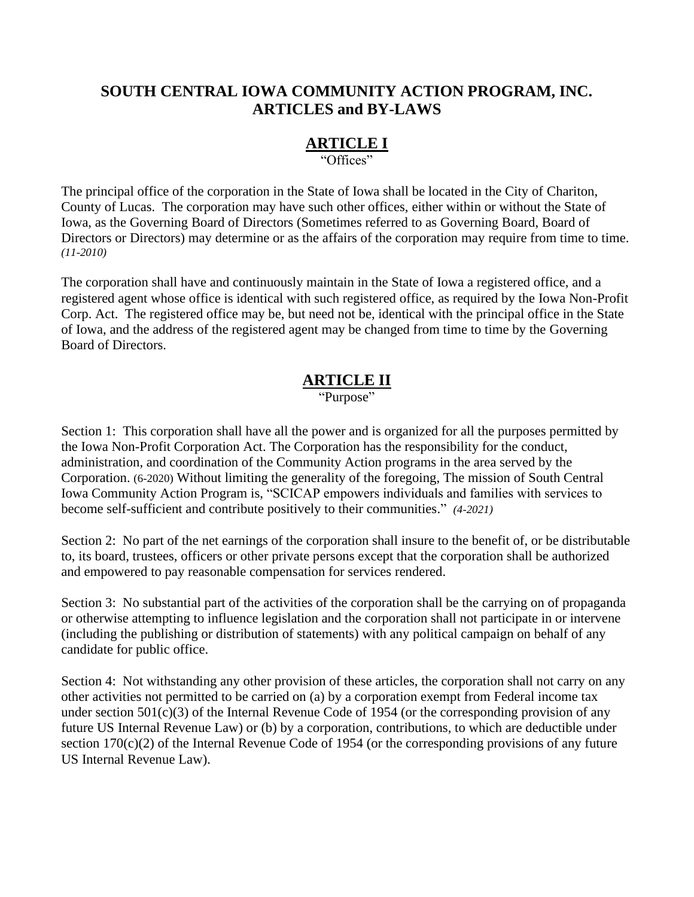# **SOUTH CENTRAL IOWA COMMUNITY ACTION PROGRAM, INC. ARTICLES and BY-LAWS**

# **ARTICLE I**

"Offices"

The principal office of the corporation in the State of Iowa shall be located in the City of Chariton, County of Lucas. The corporation may have such other offices, either within or without the State of Iowa, as the Governing Board of Directors (Sometimes referred to as Governing Board, Board of Directors or Directors) may determine or as the affairs of the corporation may require from time to time. *(11-2010)*

The corporation shall have and continuously maintain in the State of Iowa a registered office, and a registered agent whose office is identical with such registered office, as required by the Iowa Non-Profit Corp. Act. The registered office may be, but need not be, identical with the principal office in the State of Iowa, and the address of the registered agent may be changed from time to time by the Governing Board of Directors.

# **ARTICLE II**

"Purpose"

Section 1: This corporation shall have all the power and is organized for all the purposes permitted by the Iowa Non-Profit Corporation Act. The Corporation has the responsibility for the conduct, administration, and coordination of the Community Action programs in the area served by the Corporation. (6-2020) Without limiting the generality of the foregoing, The mission of South Central Iowa Community Action Program is, "SCICAP empowers individuals and families with services to become self-sufficient and contribute positively to their communities." *(4-2021)*

Section 2: No part of the net earnings of the corporation shall insure to the benefit of, or be distributable to, its board, trustees, officers or other private persons except that the corporation shall be authorized and empowered to pay reasonable compensation for services rendered.

Section 3: No substantial part of the activities of the corporation shall be the carrying on of propaganda or otherwise attempting to influence legislation and the corporation shall not participate in or intervene (including the publishing or distribution of statements) with any political campaign on behalf of any candidate for public office.

Section 4: Not withstanding any other provision of these articles, the corporation shall not carry on any other activities not permitted to be carried on (a) by a corporation exempt from Federal income tax under section  $501(c)(3)$  of the Internal Revenue Code of 1954 (or the corresponding provision of any future US Internal Revenue Law) or (b) by a corporation, contributions, to which are deductible under section 170(c)(2) of the Internal Revenue Code of 1954 (or the corresponding provisions of any future US Internal Revenue Law).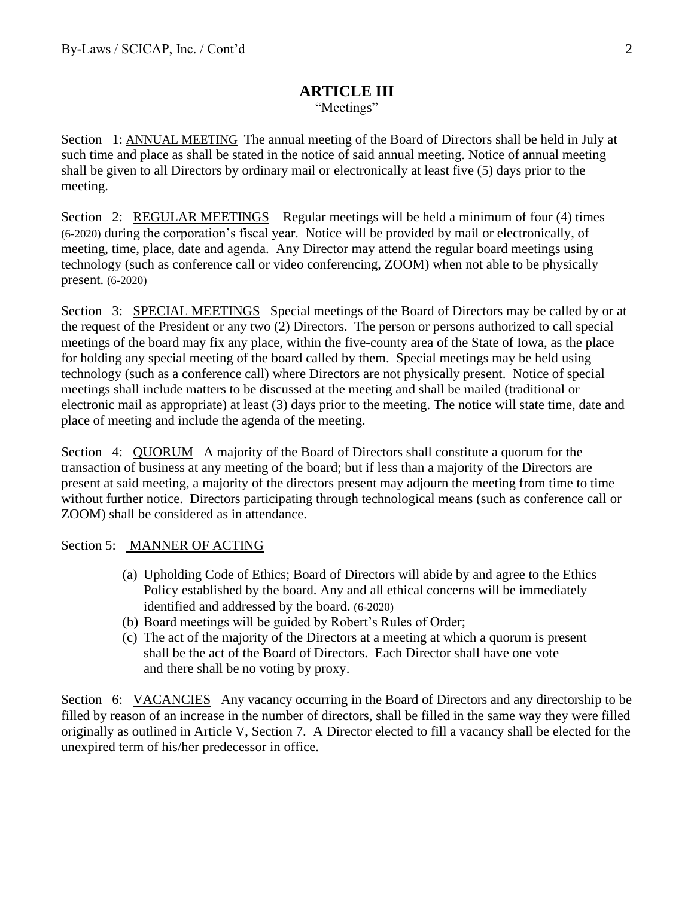# **ARTICLE III**

"Meetings"

Section 1: ANNUAL MEETING The annual meeting of the Board of Directors shall be held in July at such time and place as shall be stated in the notice of said annual meeting. Notice of annual meeting shall be given to all Directors by ordinary mail or electronically at least five (5) days prior to the meeting.

Section 2: REGULAR MEETINGS Regular meetings will be held a minimum of four (4) times (6-2020) during the corporation's fiscal year. Notice will be provided by mail or electronically, of meeting, time, place, date and agenda. Any Director may attend the regular board meetings using technology (such as conference call or video conferencing, ZOOM) when not able to be physically present. (6-2020)

Section 3: SPECIAL MEETINGS Special meetings of the Board of Directors may be called by or at the request of the President or any two (2) Directors. The person or persons authorized to call special meetings of the board may fix any place, within the five-county area of the State of Iowa, as the place for holding any special meeting of the board called by them. Special meetings may be held using technology (such as a conference call) where Directors are not physically present. Notice of special meetings shall include matters to be discussed at the meeting and shall be mailed (traditional or electronic mail as appropriate) at least (3) days prior to the meeting. The notice will state time, date and place of meeting and include the agenda of the meeting.

Section 4: QUORUM A majority of the Board of Directors shall constitute a quorum for the transaction of business at any meeting of the board; but if less than a majority of the Directors are present at said meeting, a majority of the directors present may adjourn the meeting from time to time without further notice. Directors participating through technological means (such as conference call or ZOOM) shall be considered as in attendance.

Section 5: MANNER OF ACTING

- (a) Upholding Code of Ethics; Board of Directors will abide by and agree to the Ethics Policy established by the board. Any and all ethical concerns will be immediately identified and addressed by the board. (6-2020)
- (b) Board meetings will be guided by Robert's Rules of Order;
- (c) The act of the majority of the Directors at a meeting at which a quorum is present shall be the act of the Board of Directors. Each Director shall have one vote and there shall be no voting by proxy.

Section 6: VACANCIES Any vacancy occurring in the Board of Directors and any directorship to be filled by reason of an increase in the number of directors, shall be filled in the same way they were filled originally as outlined in Article V, Section 7. A Director elected to fill a vacancy shall be elected for the unexpired term of his/her predecessor in office.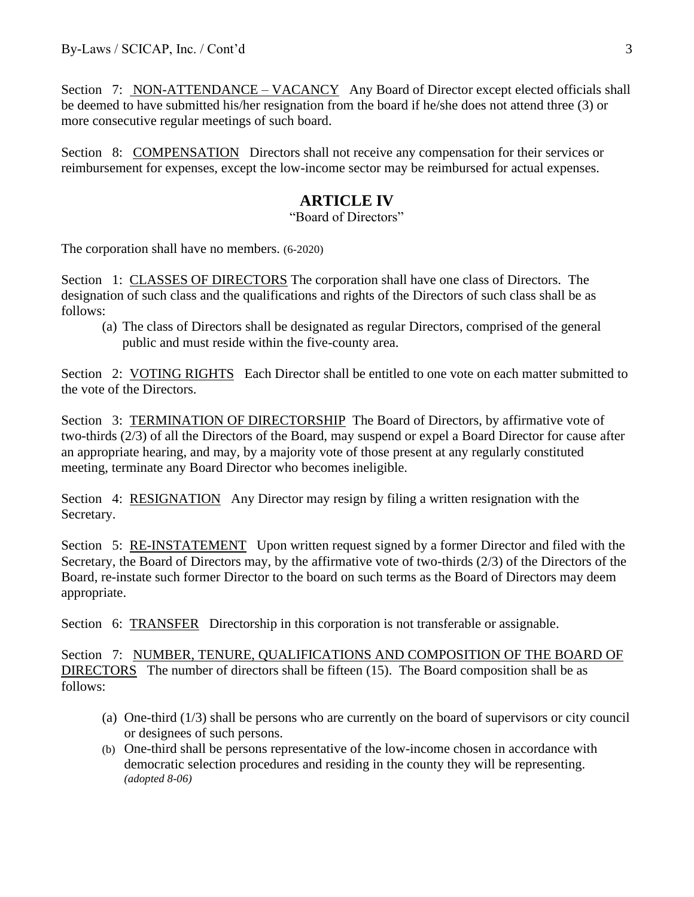Section 7: NON-ATTENDANCE – VACANCY Any Board of Director except elected officials shall be deemed to have submitted his/her resignation from the board if he/she does not attend three (3) or more consecutive regular meetings of such board.

Section 8: COMPENSATION Directors shall not receive any compensation for their services or reimbursement for expenses, except the low-income sector may be reimbursed for actual expenses.

### **ARTICLE IV**

"Board of Directors"

The corporation shall have no members. (6-2020)

Section 1: CLASSES OF DIRECTORS The corporation shall have one class of Directors. The designation of such class and the qualifications and rights of the Directors of such class shall be as follows:

(a) The class of Directors shall be designated as regular Directors, comprised of the general public and must reside within the five-county area.

Section 2: VOTING RIGHTS Each Director shall be entitled to one vote on each matter submitted to the vote of the Directors.

Section 3: TERMINATION OF DIRECTORSHIP The Board of Directors, by affirmative vote of two-thirds (2/3) of all the Directors of the Board, may suspend or expel a Board Director for cause after an appropriate hearing, and may, by a majority vote of those present at any regularly constituted meeting, terminate any Board Director who becomes ineligible.

Section 4: RESIGNATION Any Director may resign by filing a written resignation with the Secretary.

Section 5: RE-INSTATEMENT Upon written request signed by a former Director and filed with the Secretary, the Board of Directors may, by the affirmative vote of two-thirds (2/3) of the Directors of the Board, re-instate such former Director to the board on such terms as the Board of Directors may deem appropriate.

Section 6: TRANSFER Directorship in this corporation is not transferable or assignable.

Section 7: NUMBER, TENURE, QUALIFICATIONS AND COMPOSITION OF THE BOARD OF DIRECTORS The number of directors shall be fifteen (15). The Board composition shall be as follows:

- (a) One-third (1/3) shall be persons who are currently on the board of supervisors or city council or designees of such persons.
- (b) One-third shall be persons representative of the low-income chosen in accordance with democratic selection procedures and residing in the county they will be representing. *(adopted 8-06)*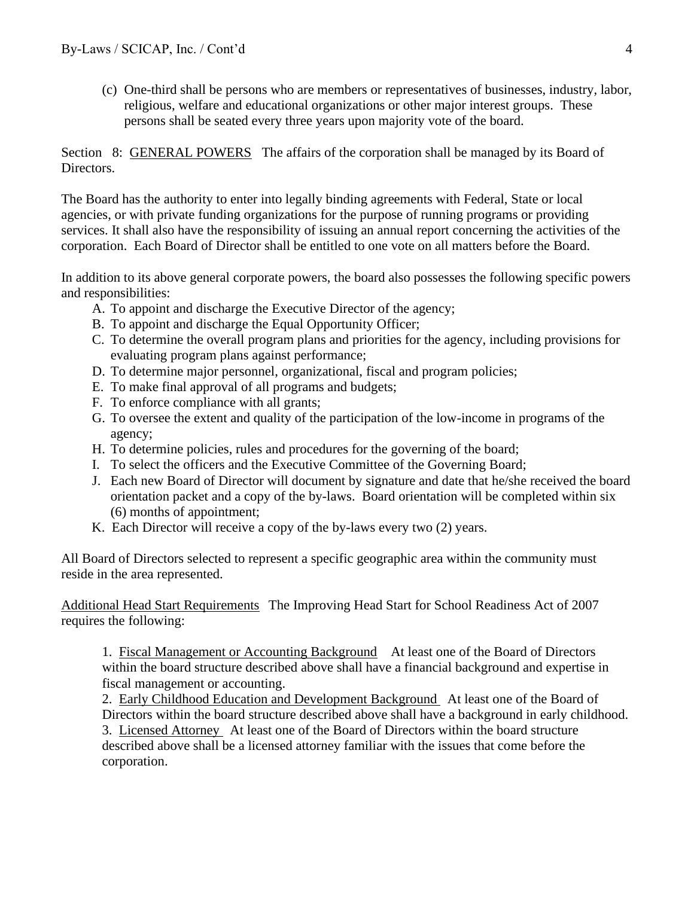(c) One-third shall be persons who are members or representatives of businesses, industry, labor, religious, welfare and educational organizations or other major interest groups. These persons shall be seated every three years upon majority vote of the board.

Section 8: GENERAL POWERS The affairs of the corporation shall be managed by its Board of Directors.

The Board has the authority to enter into legally binding agreements with Federal, State or local agencies, or with private funding organizations for the purpose of running programs or providing services. It shall also have the responsibility of issuing an annual report concerning the activities of the corporation. Each Board of Director shall be entitled to one vote on all matters before the Board.

In addition to its above general corporate powers, the board also possesses the following specific powers and responsibilities:

- A. To appoint and discharge the Executive Director of the agency;
- B. To appoint and discharge the Equal Opportunity Officer;
- C. To determine the overall program plans and priorities for the agency, including provisions for evaluating program plans against performance;
- D. To determine major personnel, organizational, fiscal and program policies;
- E. To make final approval of all programs and budgets;
- F. To enforce compliance with all grants;
- G. To oversee the extent and quality of the participation of the low-income in programs of the agency;
- H. To determine policies, rules and procedures for the governing of the board;
- I. To select the officers and the Executive Committee of the Governing Board;
- J. Each new Board of Director will document by signature and date that he/she received the board orientation packet and a copy of the by-laws. Board orientation will be completed within six (6) months of appointment;
- K. Each Director will receive a copy of the by-laws every two (2) years.

All Board of Directors selected to represent a specific geographic area within the community must reside in the area represented.

Additional Head Start Requirements The Improving Head Start for School Readiness Act of 2007 requires the following:

1. Fiscal Management or Accounting Background At least one of the Board of Directors within the board structure described above shall have a financial background and expertise in fiscal management or accounting.

2. Early Childhood Education and Development Background At least one of the Board of Directors within the board structure described above shall have a background in early childhood. 3. Licensed Attorney At least one of the Board of Directors within the board structure described above shall be a licensed attorney familiar with the issues that come before the corporation.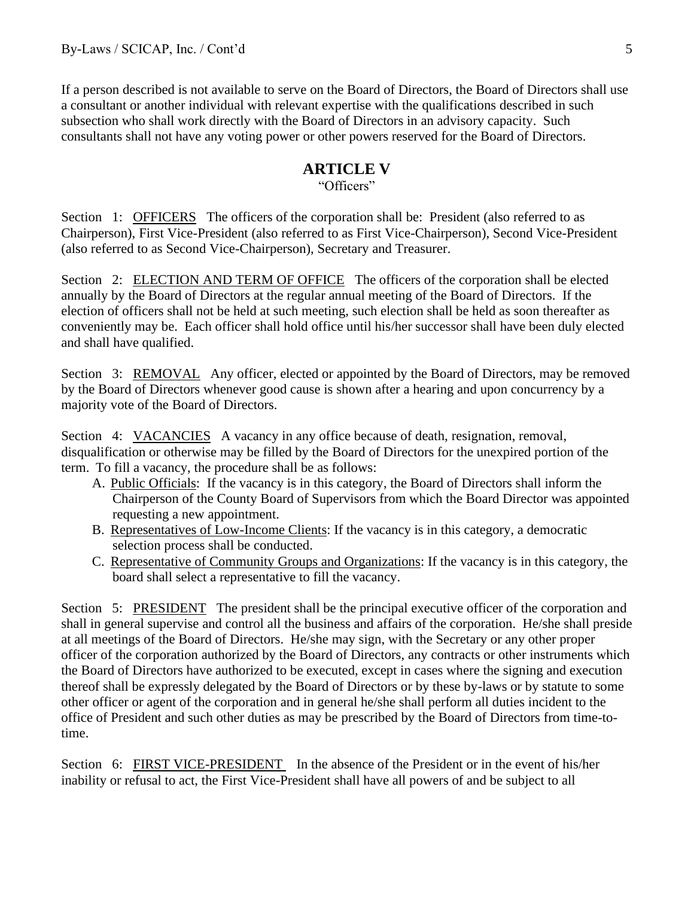If a person described is not available to serve on the Board of Directors, the Board of Directors shall use a consultant or another individual with relevant expertise with the qualifications described in such subsection who shall work directly with the Board of Directors in an advisory capacity. Such consultants shall not have any voting power or other powers reserved for the Board of Directors.

### **ARTICLE V**

#### "Officers"

Section 1: OFFICERS The officers of the corporation shall be: President (also referred to as Chairperson), First Vice-President (also referred to as First Vice-Chairperson), Second Vice-President (also referred to as Second Vice-Chairperson), Secretary and Treasurer.

Section 2: ELECTION AND TERM OF OFFICE The officers of the corporation shall be elected annually by the Board of Directors at the regular annual meeting of the Board of Directors. If the election of officers shall not be held at such meeting, such election shall be held as soon thereafter as conveniently may be. Each officer shall hold office until his/her successor shall have been duly elected and shall have qualified.

Section 3: REMOVAL Any officer, elected or appointed by the Board of Directors, may be removed by the Board of Directors whenever good cause is shown after a hearing and upon concurrency by a majority vote of the Board of Directors.

Section 4: VACANCIES A vacancy in any office because of death, resignation, removal, disqualification or otherwise may be filled by the Board of Directors for the unexpired portion of the term. To fill a vacancy, the procedure shall be as follows:

- A. Public Officials: If the vacancy is in this category, the Board of Directors shall inform the Chairperson of the County Board of Supervisors from which the Board Director was appointed requesting a new appointment.
- B. Representatives of Low-Income Clients: If the vacancy is in this category, a democratic selection process shall be conducted.
- C. Representative of Community Groups and Organizations: If the vacancy is in this category, the board shall select a representative to fill the vacancy.

Section 5: PRESIDENT The president shall be the principal executive officer of the corporation and shall in general supervise and control all the business and affairs of the corporation. He/she shall preside at all meetings of the Board of Directors. He/she may sign, with the Secretary or any other proper officer of the corporation authorized by the Board of Directors, any contracts or other instruments which the Board of Directors have authorized to be executed, except in cases where the signing and execution thereof shall be expressly delegated by the Board of Directors or by these by-laws or by statute to some other officer or agent of the corporation and in general he/she shall perform all duties incident to the office of President and such other duties as may be prescribed by the Board of Directors from time-totime.

Section 6: FIRST VICE-PRESIDENT In the absence of the President or in the event of his/her inability or refusal to act, the First Vice-President shall have all powers of and be subject to all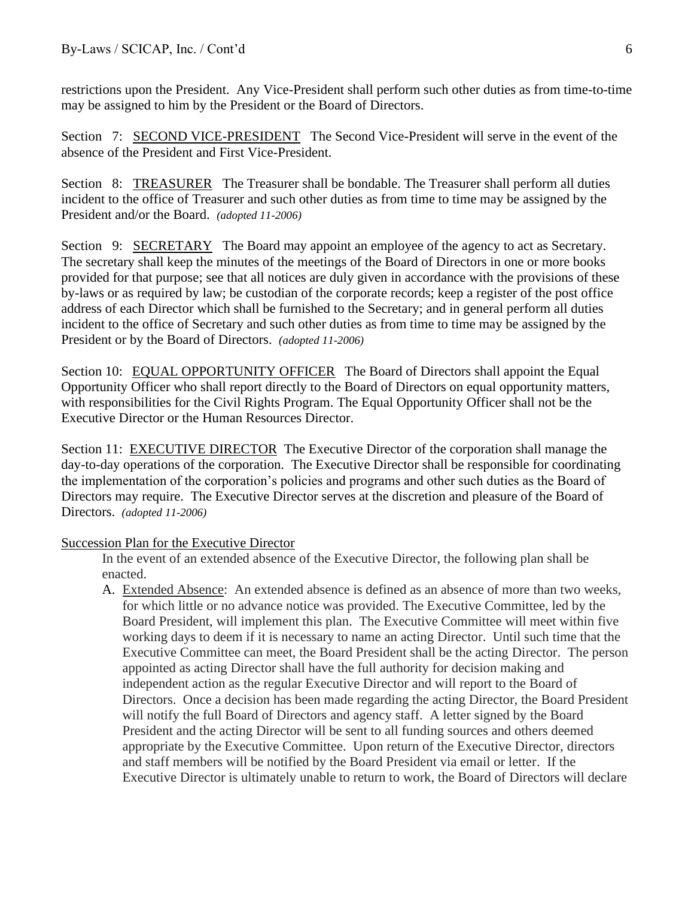restrictions upon the President. Any Vice-President shall perform such other duties as from time-to-time may be assigned to him by the President or the Board of Directors.

Section 7: SECOND VICE-PRESIDENT The Second Vice-President will serve in the event of the absence of the President and First Vice-President.

Section 8: TREASURER The Treasurer shall be bondable. The Treasurer shall perform all duties incident to the office of Treasurer and such other duties as from time to time may be assigned by the President and/or the Board. *(adopted 11-2006)*

Section 9: SECRETARY The Board may appoint an employee of the agency to act as Secretary. The secretary shall keep the minutes of the meetings of the Board of Directors in one or more books provided for that purpose; see that all notices are duly given in accordance with the provisions of these by-laws or as required by law; be custodian of the corporate records; keep a register of the post office address of each Director which shall be furnished to the Secretary; and in general perform all duties incident to the office of Secretary and such other duties as from time to time may be assigned by the President or by the Board of Directors. *(adopted 11-2006)*

Section 10: EQUAL OPPORTUNITY OFFICER The Board of Directors shall appoint the Equal Opportunity Officer who shall report directly to the Board of Directors on equal opportunity matters, with responsibilities for the Civil Rights Program. The Equal Opportunity Officer shall not be the Executive Director or the Human Resources Director.

Section 11: EXECUTIVE DIRECTOR The Executive Director of the corporation shall manage the day-to-day operations of the corporation. The Executive Director shall be responsible for coordinating the implementation of the corporation's policies and programs and other such duties as the Board of Directors may require. The Executive Director serves at the discretion and pleasure of the Board of Directors. *(adopted 11-2006)*

#### Succession Plan for the Executive Director

In the event of an extended absence of the Executive Director, the following plan shall be enacted.

A. Extended Absence: An extended absence is defined as an absence of more than two weeks, for which little or no advance notice was provided. The Executive Committee, led by the Board President, will implement this plan. The Executive Committee will meet within five working days to deem if it is necessary to name an acting Director. Until such time that the Executive Committee can meet, the Board President shall be the acting Director. The person appointed as acting Director shall have the full authority for decision making and independent action as the regular Executive Director and will report to the Board of Directors. Once a decision has been made regarding the acting Director, the Board President will notify the full Board of Directors and agency staff. A letter signed by the Board President and the acting Director will be sent to all funding sources and others deemed appropriate by the Executive Committee. Upon return of the Executive Director, directors and staff members will be notified by the Board President via email or letter. If the Executive Director is ultimately unable to return to work, the Board of Directors will declare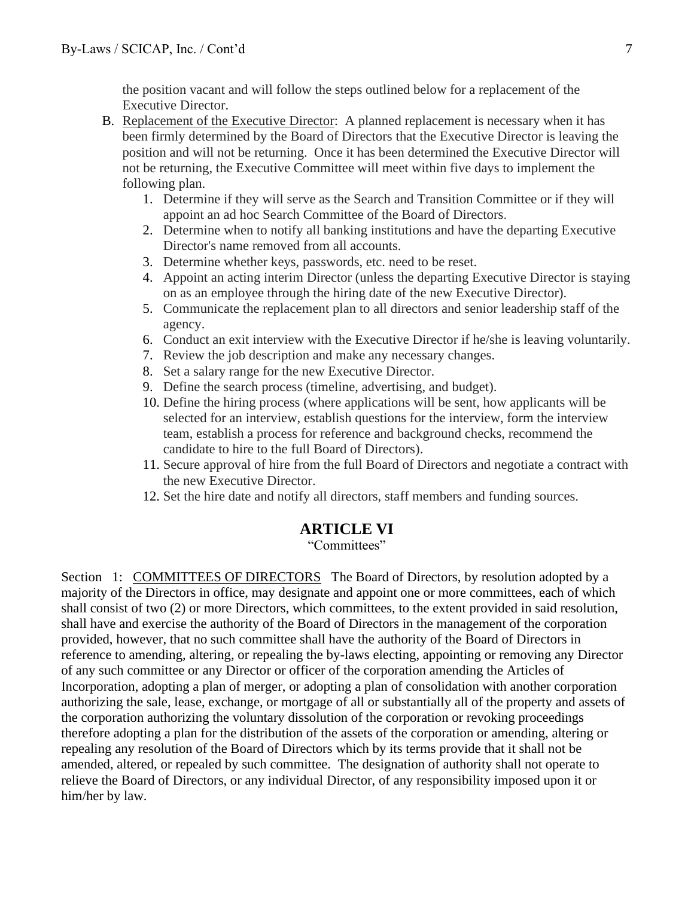the position vacant and will follow the steps outlined below for a replacement of the Executive Director.

- B. Replacement of the Executive Director: A planned replacement is necessary when it has been firmly determined by the Board of Directors that the Executive Director is leaving the position and will not be returning. Once it has been determined the Executive Director will not be returning, the Executive Committee will meet within five days to implement the following plan.
	- 1. Determine if they will serve as the Search and Transition Committee or if they will appoint an ad hoc Search Committee of the Board of Directors.
	- 2. Determine when to notify all banking institutions and have the departing Executive Director's name removed from all accounts.
	- 3. Determine whether keys, passwords, etc. need to be reset.
	- 4. Appoint an acting interim Director (unless the departing Executive Director is staying on as an employee through the hiring date of the new Executive Director).
	- 5. Communicate the replacement plan to all directors and senior leadership staff of the agency.
	- 6. Conduct an exit interview with the Executive Director if he/she is leaving voluntarily.
	- 7. Review the job description and make any necessary changes.
	- 8. Set a salary range for the new Executive Director.
	- 9. Define the search process (timeline, advertising, and budget).
	- 10. Define the hiring process (where applications will be sent, how applicants will be selected for an interview, establish questions for the interview, form the interview team, establish a process for reference and background checks, recommend the candidate to hire to the full Board of Directors).
	- 11. Secure approval of hire from the full Board of Directors and negotiate a contract with the new Executive Director.
	- 12. Set the hire date and notify all directors, staff members and funding sources.

### **ARTICLE VI**

#### "Committees"

Section 1: COMMITTEES OF DIRECTORS The Board of Directors, by resolution adopted by a majority of the Directors in office, may designate and appoint one or more committees, each of which shall consist of two (2) or more Directors, which committees, to the extent provided in said resolution, shall have and exercise the authority of the Board of Directors in the management of the corporation provided, however, that no such committee shall have the authority of the Board of Directors in reference to amending, altering, or repealing the by-laws electing, appointing or removing any Director of any such committee or any Director or officer of the corporation amending the Articles of Incorporation, adopting a plan of merger, or adopting a plan of consolidation with another corporation authorizing the sale, lease, exchange, or mortgage of all or substantially all of the property and assets of the corporation authorizing the voluntary dissolution of the corporation or revoking proceedings therefore adopting a plan for the distribution of the assets of the corporation or amending, altering or repealing any resolution of the Board of Directors which by its terms provide that it shall not be amended, altered, or repealed by such committee. The designation of authority shall not operate to relieve the Board of Directors, or any individual Director, of any responsibility imposed upon it or him/her by law.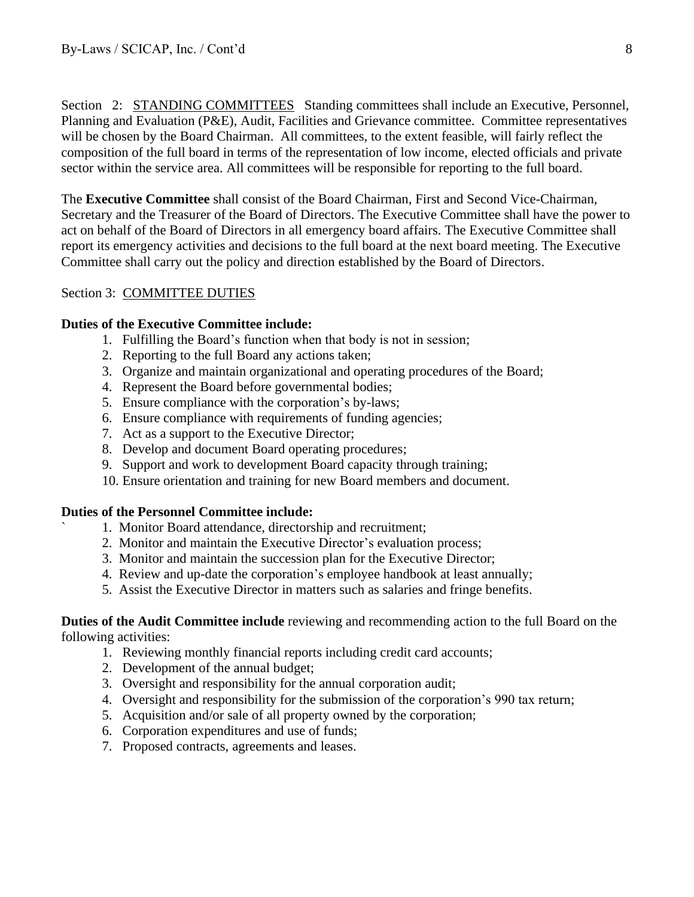Section 2: STANDING COMMITTEES Standing committees shall include an Executive, Personnel, Planning and Evaluation (P&E), Audit, Facilities and Grievance committee. Committee representatives will be chosen by the Board Chairman. All committees, to the extent feasible, will fairly reflect the composition of the full board in terms of the representation of low income, elected officials and private sector within the service area. All committees will be responsible for reporting to the full board.

The **Executive Committee** shall consist of the Board Chairman, First and Second Vice-Chairman, Secretary and the Treasurer of the Board of Directors. The Executive Committee shall have the power to act on behalf of the Board of Directors in all emergency board affairs. The Executive Committee shall report its emergency activities and decisions to the full board at the next board meeting. The Executive Committee shall carry out the policy and direction established by the Board of Directors.

### Section 3: COMMITTEE DUTIES

#### **Duties of the Executive Committee include:**

- 1. Fulfilling the Board's function when that body is not in session;
- 2. Reporting to the full Board any actions taken;
- 3. Organize and maintain organizational and operating procedures of the Board;
- 4. Represent the Board before governmental bodies;
- 5. Ensure compliance with the corporation's by-laws;
- 6. Ensure compliance with requirements of funding agencies;
- 7. Act as a support to the Executive Director;
- 8. Develop and document Board operating procedures;
- 9. Support and work to development Board capacity through training;
- 10. Ensure orientation and training for new Board members and document.

#### **Duties of the Personnel Committee include:**

- ` 1. Monitor Board attendance, directorship and recruitment;
- 2. Monitor and maintain the Executive Director's evaluation process;
- 3. Monitor and maintain the succession plan for the Executive Director;
- 4. Review and up-date the corporation's employee handbook at least annually;
- 5. Assist the Executive Director in matters such as salaries and fringe benefits.

#### **Duties of the Audit Committee include** reviewing and recommending action to the full Board on the following activities:

- 1. Reviewing monthly financial reports including credit card accounts;
- 2. Development of the annual budget;
- 3. Oversight and responsibility for the annual corporation audit;
- 4. Oversight and responsibility for the submission of the corporation's 990 tax return;
- 5. Acquisition and/or sale of all property owned by the corporation;
- 6. Corporation expenditures and use of funds;
- 7. Proposed contracts, agreements and leases.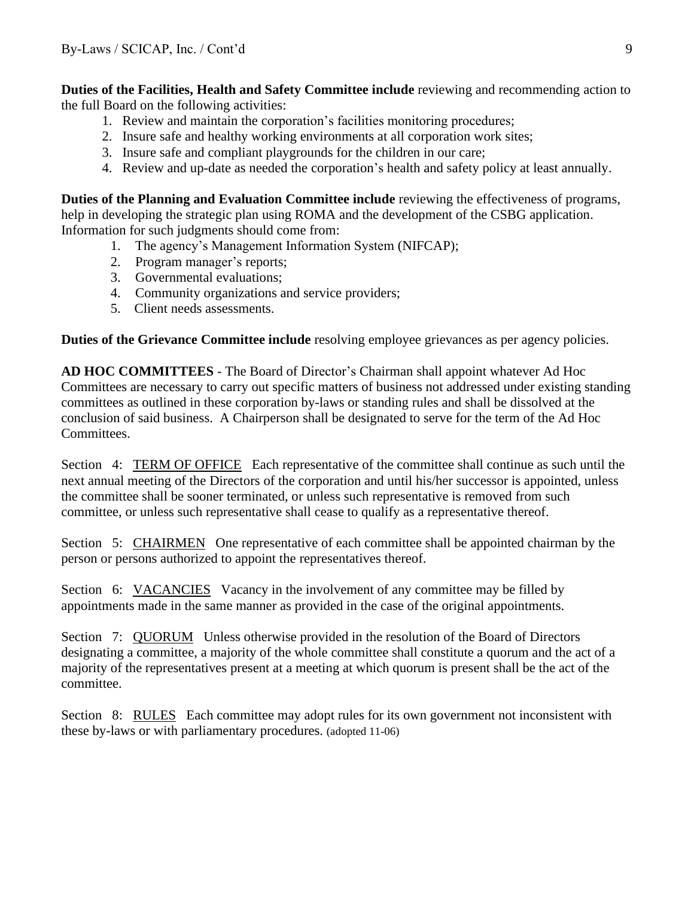**Duties of the Facilities, Health and Safety Committee include** reviewing and recommending action to the full Board on the following activities:

- 1. Review and maintain the corporation's facilities monitoring procedures;
- 2. Insure safe and healthy working environments at all corporation work sites;
- 3. Insure safe and compliant playgrounds for the children in our care;
- 4. Review and up-date as needed the corporation's health and safety policy at least annually.

**Duties of the Planning and Evaluation Committee include** reviewing the effectiveness of programs, help in developing the strategic plan using ROMA and the development of the CSBG application. Information for such judgments should come from:

- 1. The agency's Management Information System (NIFCAP);
- 2. Program manager's reports;
- 3. Governmental evaluations;
- 4. Community organizations and service providers;
- 5. Client needs assessments.

**Duties of the Grievance Committee include** resolving employee grievances as per agency policies.

**AD HOC COMMITTEES** - The Board of Director's Chairman shall appoint whatever Ad Hoc Committees are necessary to carry out specific matters of business not addressed under existing standing committees as outlined in these corporation by-laws or standing rules and shall be dissolved at the conclusion of said business. A Chairperson shall be designated to serve for the term of the Ad Hoc Committees.

Section 4: TERM OF OFFICE Each representative of the committee shall continue as such until the next annual meeting of the Directors of the corporation and until his/her successor is appointed, unless the committee shall be sooner terminated, or unless such representative is removed from such committee, or unless such representative shall cease to qualify as a representative thereof.

Section 5: CHAIRMEN One representative of each committee shall be appointed chairman by the person or persons authorized to appoint the representatives thereof.

Section 6: VACANCIES Vacancy in the involvement of any committee may be filled by appointments made in the same manner as provided in the case of the original appointments.

Section 7: QUORUM Unless otherwise provided in the resolution of the Board of Directors designating a committee, a majority of the whole committee shall constitute a quorum and the act of a majority of the representatives present at a meeting at which quorum is present shall be the act of the committee.

Section 8: RULES Each committee may adopt rules for its own government not inconsistent with these by-laws or with parliamentary procedures. (adopted 11-06)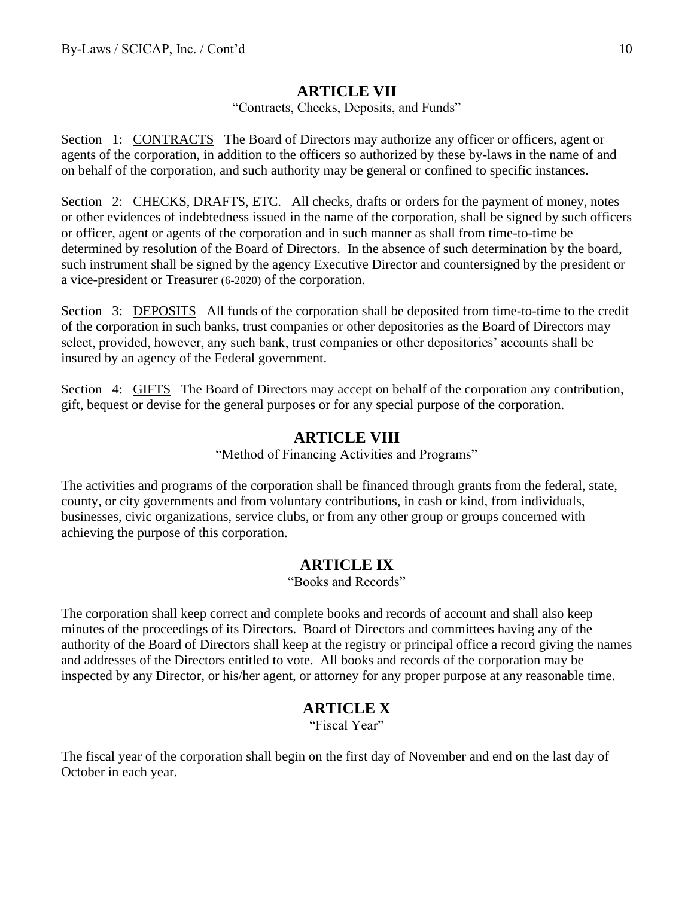# **ARTICLE VII**

### "Contracts, Checks, Deposits, and Funds"

Section 1: CONTRACTS The Board of Directors may authorize any officer or officers, agent or agents of the corporation, in addition to the officers so authorized by these by-laws in the name of and on behalf of the corporation, and such authority may be general or confined to specific instances.

Section 2: CHECKS, DRAFTS, ETC. All checks, drafts or orders for the payment of money, notes or other evidences of indebtedness issued in the name of the corporation, shall be signed by such officers or officer, agent or agents of the corporation and in such manner as shall from time-to-time be determined by resolution of the Board of Directors. In the absence of such determination by the board, such instrument shall be signed by the agency Executive Director and countersigned by the president or a vice-president or Treasurer (6-2020) of the corporation.

Section 3: DEPOSITS All funds of the corporation shall be deposited from time-to-time to the credit of the corporation in such banks, trust companies or other depositories as the Board of Directors may select, provided, however, any such bank, trust companies or other depositories' accounts shall be insured by an agency of the Federal government.

Section 4: GIFTS The Board of Directors may accept on behalf of the corporation any contribution, gift, bequest or devise for the general purposes or for any special purpose of the corporation.

# **ARTICLE VIII**

"Method of Financing Activities and Programs"

The activities and programs of the corporation shall be financed through grants from the federal, state, county, or city governments and from voluntary contributions, in cash or kind, from individuals, businesses, civic organizations, service clubs, or from any other group or groups concerned with achieving the purpose of this corporation.

# **ARTICLE IX**

"Books and Records"

The corporation shall keep correct and complete books and records of account and shall also keep minutes of the proceedings of its Directors. Board of Directors and committees having any of the authority of the Board of Directors shall keep at the registry or principal office a record giving the names and addresses of the Directors entitled to vote. All books and records of the corporation may be inspected by any Director, or his/her agent, or attorney for any proper purpose at any reasonable time.

# **ARTICLE X**

"Fiscal Year"

The fiscal year of the corporation shall begin on the first day of November and end on the last day of October in each year.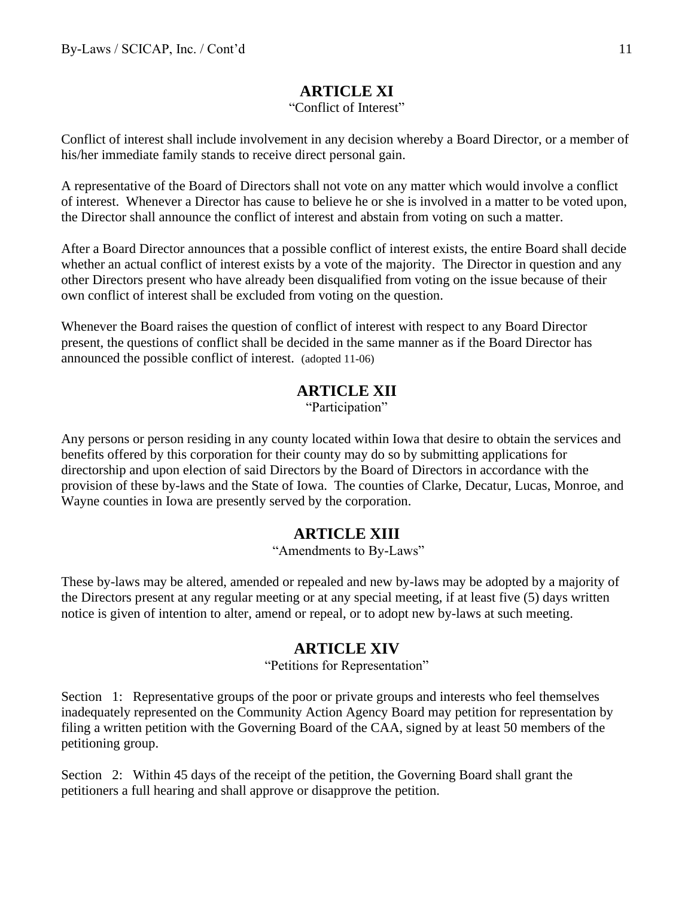# **ARTICLE XI**

### "Conflict of Interest"

Conflict of interest shall include involvement in any decision whereby a Board Director, or a member of his/her immediate family stands to receive direct personal gain.

A representative of the Board of Directors shall not vote on any matter which would involve a conflict of interest. Whenever a Director has cause to believe he or she is involved in a matter to be voted upon, the Director shall announce the conflict of interest and abstain from voting on such a matter.

After a Board Director announces that a possible conflict of interest exists, the entire Board shall decide whether an actual conflict of interest exists by a vote of the majority. The Director in question and any other Directors present who have already been disqualified from voting on the issue because of their own conflict of interest shall be excluded from voting on the question.

Whenever the Board raises the question of conflict of interest with respect to any Board Director present, the questions of conflict shall be decided in the same manner as if the Board Director has announced the possible conflict of interest. (adopted 11-06)

### **ARTICLE XII**

"Participation"

Any persons or person residing in any county located within Iowa that desire to obtain the services and benefits offered by this corporation for their county may do so by submitting applications for directorship and upon election of said Directors by the Board of Directors in accordance with the provision of these by-laws and the State of Iowa. The counties of Clarke, Decatur, Lucas, Monroe, and Wayne counties in Iowa are presently served by the corporation.

### **ARTICLE XIII**

"Amendments to By-Laws"

These by-laws may be altered, amended or repealed and new by-laws may be adopted by a majority of the Directors present at any regular meeting or at any special meeting, if at least five (5) days written notice is given of intention to alter, amend or repeal, or to adopt new by-laws at such meeting.

### **ARTICLE XIV**

"Petitions for Representation"

Section 1: Representative groups of the poor or private groups and interests who feel themselves inadequately represented on the Community Action Agency Board may petition for representation by filing a written petition with the Governing Board of the CAA, signed by at least 50 members of the petitioning group.

Section 2: Within 45 days of the receipt of the petition, the Governing Board shall grant the petitioners a full hearing and shall approve or disapprove the petition.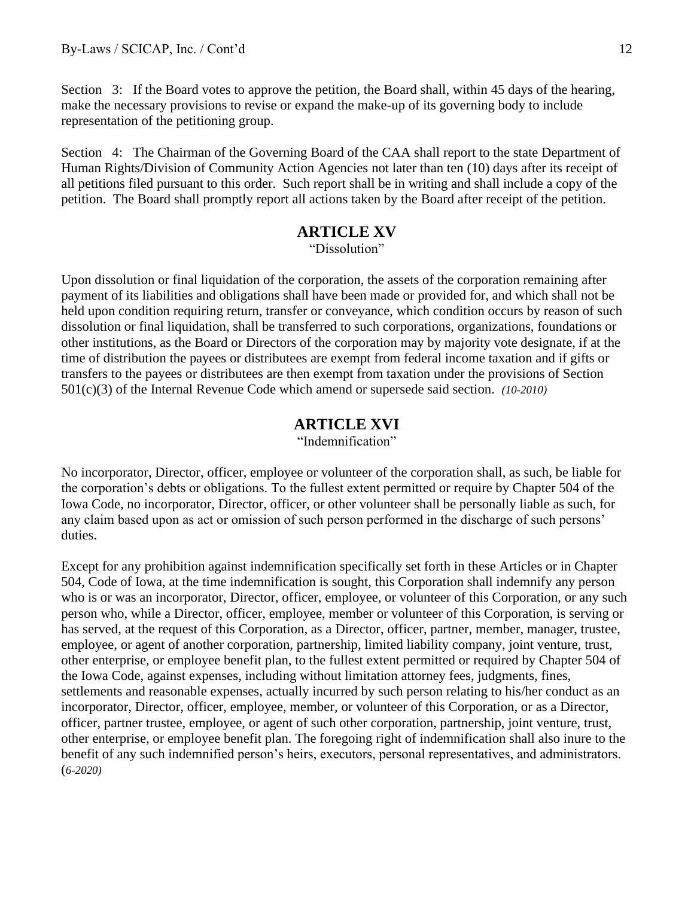Section 3: If the Board votes to approve the petition, the Board shall, within 45 days of the hearing, make the necessary provisions to revise or expand the make-up of its governing body to include representation of the petitioning group.

Section 4: The Chairman of the Governing Board of the CAA shall report to the state Department of Human Rights/Division of Community Action Agencies not later than ten (10) days after its receipt of all petitions filed pursuant to this order. Such report shall be in writing and shall include a copy of the petition. The Board shall promptly report all actions taken by the Board after receipt of the petition.

#### **ARTICLE XV**

"Dissolution"

Upon dissolution or final liquidation of the corporation, the assets of the corporation remaining after payment of its liabilities and obligations shall have been made or provided for, and which shall not be held upon condition requiring return, transfer or conveyance, which condition occurs by reason of such dissolution or final liquidation, shall be transferred to such corporations, organizations, foundations or other institutions, as the Board or Directors of the corporation may by majority vote designate, if at the time of distribution the payees or distributees are exempt from federal income taxation and if gifts or transfers to the payees or distributees are then exempt from taxation under the provisions of Section 501(c)(3) of the Internal Revenue Code which amend or supersede said section. *(10-2010)*

### **ARTICLE XVI**

"Indemnification"

No incorporator, Director, officer, employee or volunteer of the corporation shall, as such, be liable for the corporation's debts or obligations. To the fullest extent permitted or require by Chapter 504 of the Iowa Code, no incorporator, Director, officer, or other volunteer shall be personally liable as such, for any claim based upon as act or omission of such person performed in the discharge of such persons' duties.

Except for any prohibition against indemnification specifically set forth in these Articles or in Chapter 504, Code of Iowa, at the time indemnification is sought, this Corporation shall indemnify any person who is or was an incorporator, Director, officer, employee, or volunteer of this Corporation, or any such person who, while a Director, officer, employee, member or volunteer of this Corporation, is serving or has served, at the request of this Corporation, as a Director, officer, partner, member, manager, trustee, employee, or agent of another corporation, partnership, limited liability company, joint venture, trust, other enterprise, or employee benefit plan, to the fullest extent permitted or required by Chapter 504 of the Iowa Code, against expenses, including without limitation attorney fees, judgments, fines, settlements and reasonable expenses, actually incurred by such person relating to his/her conduct as an incorporator, Director, officer, employee, member, or volunteer of this Corporation, or as a Director, officer, partner trustee, employee, or agent of such other corporation, partnership, joint venture, trust, other enterprise, or employee benefit plan. The foregoing right of indemnification shall also inure to the benefit of any such indemnified person's heirs, executors, personal representatives, and administrators. (*6-2020)*